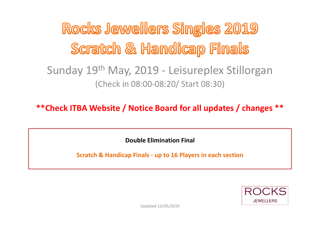Rocks Jewellers Singles 2019 Scratch & Handicap Finals

### Sunday 19th May, 2019 - Leisureplex Stillorgan (Check in 08:00-08:20/ Start 08:30)

**\*\*Check ITBA Website / Notice Board for all updates / changes \*\*** 

**Double Elimination Final** 

**Scratch & Handicap Finals - up to 16 Players in each section** 

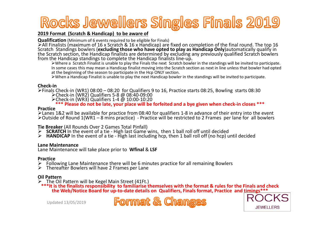# Rocks Jewellers Singles Finals 2019

#### **2019 Format (Scratch & Handicap) to be aware of**

**Qualification** (Minimum of 6 events required to be eligible for Finals)

>All Finalists (maximum of 16 x Scratch & 16 x Handicap) are fixed on completion of the final round. The top 16 Scratch Standings bowlers (excluding those who have opted to play as Handicap Only) automatically qualify in the Scratch section, the Handicap finalists are determined by excluding any previously qualified Scratch bowlers

 Where a Scratch Finalist is unable to play the Finals the next Scratch bowler in the standings will be invited to participate. In some cases this may mean a Handicap finalist moving into the Scratch section as next in line unless that bowler had opted at the beginning of the season to participate in the Hcp ONLY section.

When a Handicap Finalist is unable to play the next Handicap bowler in the standings will be invited to participate.

#### **Check-in**

>Finals Check-in (WR1) 08:00 – 08:20 for Qualifiers 9 to 16, Practice starts 08:25, Bowling starts 08:30<br>
► Check in (WR3) Qualifiers 5.8 @ 08:40, 00:00 Check-in (WR2) Qualifiers 5-8 @ 08:40-09:00

Check-in (WR3) Qualifiers 1-4 @ 10:00-10:20

**\*\*\* Please do not be late, your place will be forfeited and a bye given when check-in closes \*\*\***

#### **Practice**

 Lanes 1&2 will be available for practice from 08:40 for qualifiers 1-8 in advance of their entry into the event $\blacktriangleright$ Outside of Round 1(WR1 – 8 mins practice) - Practice will be restricted to 2 Frames  $\,$  per lane for  $\,$  all bowlers

#### **Tie Breaker** (All Rounds Over 2 Games Total Pinfall)

- **SCRATCH** In the event of a tie High last Game wins, then 1 ball roll off until decided<br> **EXPLAY DET** In the event of a tie High last including hcp, then 1 ball roll off (no hcp) is
- **► HANDICAP** In the event of a tie High last including hcp, then 1 ball roll off (no hcp) until decided

#### **Lane Maintenance**

Lane Maintenance will take place prior to **Wfinal** & **LSF** 

#### **Practice**

- $\triangleright$  Following Lane Maintenance there will be 6 minutes practice for all remaining Bowlers  $\triangleright$  Thereafter Bowlers will have 2 Frames per Lane
- $\triangleright$  Thereafter Bowlers will have 2 Frames per Lane

#### **Oil Pattern**

 $\triangleright$  The O

the finalists responsibility to familiarise themselves with the format & rules for the Finals and check \*\*\* It<br>the Web/Notice Board for up-to-date details on Qualifiers. Finals format. Practice and timings\*\*\*





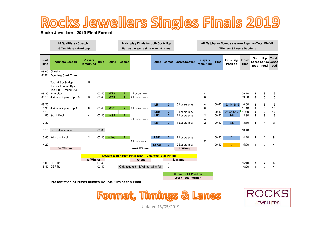## Rocks Jewellers Singles Finals 2019

#### **Rocks Jewellers - 2019 Final Format**

| 16 Qualifiers - Scratch  | Matchplay Finals for both Scr & Hcp | All Matchplay Rounds are over 2 games Total Pinfall |
|--------------------------|-------------------------------------|-----------------------------------------------------|
| 16 Qualifiers - Handicap | Run at the same time over 16 lanes  | <b>Winners &amp; Losers Sections</b>                |

| <b>Start</b><br><b>Time</b> | <b>Winners Section</b>                                                                                                 | <b>Players</b><br>remaining | <b>Time</b> |                 | <b>Round Games</b> |                                   |                 |                | <b>Round Games Losers Section</b> | <b>Players</b><br>remaining | <b>Time</b> | Finishing<br><b>Position</b> | Finish<br><b>Time</b> | Scr<br>regd  | Hcp<br>regd    | <b>Total</b><br>Lanes Lanes Lanes<br>regd |
|-----------------------------|------------------------------------------------------------------------------------------------------------------------|-----------------------------|-------------|-----------------|--------------------|-----------------------------------|-----------------|----------------|-----------------------------------|-----------------------------|-------------|------------------------------|-----------------------|--------------|----------------|-------------------------------------------|
|                             | 08:00 Check-in<br>08:30 Bowling Start Time                                                                             |                             |             |                 |                    |                                   |                 |                |                                   |                             |             |                              |                       |              |                |                                           |
|                             | Top 16 Scr & Hcp<br>Top 4 - 2 round Bye<br>Top 5-8 - 1 round Bye                                                       | 16                          |             |                 |                    |                                   |                 |                |                                   |                             |             |                              |                       |              |                |                                           |
|                             | 08:30 9-16 play                                                                                                        |                             | 00:40       | WR1             | 2                  | 4 Losers $==$                     |                 |                |                                   | 4                           |             |                              | 09:10                 | 8            | 8              | 16                                        |
|                             | 09:10 4 Winners play Top 5-8                                                                                           | 12                          | 00:40       | WR2             | $\overline{2}$     | $4$ Losers ==>                    |                 |                |                                   | 8                           |             |                              | 09:50                 | 8            | 8              | 16                                        |
| 09:50                       |                                                                                                                        |                             |             |                 |                    |                                   | LR1             | $\overline{2}$ | 8 Losers play                     | 4                           | 00:40       | 13/14/15/16                  | 10:30                 | 8            | 8              | 16                                        |
|                             | 10:30 4 Winners play Top 4                                                                                             | 8                           | 00:40       | WR <sub>3</sub> | $\overline{2}$     | 4 Losers $==$                     |                 |                |                                   | 8                           |             |                              | 11:10                 | 8            | 8              | 16                                        |
| 11:10                       |                                                                                                                        |                             |             |                 |                    |                                   | LR2             | 2 <sup>1</sup> | 8 Losers play                     | $\overline{\mathbf{4}}$     | 00:40       | 9/10/11/12                   | 11:50                 | 8            | 8              | 16                                        |
|                             | 11:50 Semi Final                                                                                                       | $\overline{4}$              | 00:40       | <b>WSF</b>      | $\overline{2}$     |                                   | LR <sub>3</sub> | $\overline{2}$ | 4 Losers play                     | 2                           | 00:40       | 7/8                          | 12:30                 | 8            | 8              | 16                                        |
|                             |                                                                                                                        |                             |             |                 |                    | 2 Losers $==$                     |                 |                |                                   | $\overline{4}$              |             |                              |                       |              |                |                                           |
| 12:30                       |                                                                                                                        |                             |             |                 |                    |                                   | LR4             | $\overline{2}$ | 4 Losers play                     | $\overline{2}$              | 00:40       | 5/6                          | 13:10                 | 4            | 4              | 8                                         |
|                             | 13:10 Lane Maintenance                                                                                                 |                             | 00:30       |                 |                    |                                   |                 |                |                                   |                             |             |                              | 13:40                 |              |                |                                           |
|                             | 13:40 Winners Final                                                                                                    | $\overline{2}$              | 00:40       | Wfinal          | 2 <sup>1</sup>     |                                   | <b>LSF</b>      | 2 <sup>1</sup> | 2 Losers play                     | $\mathbf{1}$                | 00:40       | 4                            | 14:20                 | 4            | 4              | 8                                         |
|                             |                                                                                                                        |                             |             |                 |                    | $1$ Loser $==$                    |                 |                |                                   | $\overline{2}$              |             |                              |                       |              |                |                                           |
| 14:20                       |                                                                                                                        |                             |             |                 |                    |                                   | Lfinal          | $\overline{2}$ | 2 Losers play                     |                             | 00:40       | 3.                           | 15:00                 | $\mathbf{2}$ | $\mathbf{2}$   | 4                                         |
|                             | <b>W</b> Winner                                                                                                        | -1                          |             |                 |                    | $\epsilon$ ==1 Winner             |                 |                | <b>L</b> Winner                   | $\mathbf{1}$                |             |                              |                       |              |                |                                           |
|                             | Double Elimination Final (DEF) - 2 games Total Pinfall                                                                 |                             |             |                 |                    |                                   |                 |                |                                   |                             |             |                              |                       |              |                |                                           |
|                             |                                                                                                                        | <b>W</b> Winner             |             |                 |                    | versus                            |                 |                | <b>L</b> Winner                   |                             |             |                              |                       |              |                |                                           |
|                             | 15:00 DEF R1                                                                                                           |                             | 00:40       |                 |                    |                                   |                 | $\overline{c}$ |                                   |                             |             |                              | 15:40                 | 2            | $\mathbf 2$    | 4                                         |
|                             | 15:40 DEF R2                                                                                                           |                             | 00:40       |                 |                    | Only required if L Winner wins R1 |                 | $\overline{2}$ |                                   |                             |             |                              | 16:20                 | $\mathbf{2}$ | $\overline{2}$ | 4                                         |
|                             | <b>Winner - 1st Position</b><br>Loser - 2nd Position<br><b>Presentation of Prizes follows Double Elimination Final</b> |                             |             |                 |                    |                                   |                 |                |                                   |                             |             |                              |                       |              |                |                                           |
|                             |                                                                                                                        |                             |             |                 |                    |                                   |                 |                |                                   |                             |             |                              |                       |              |                |                                           |
|                             |                                                                                                                        |                             |             |                 |                    |                                   |                 |                |                                   |                             |             |                              |                       |              |                |                                           |
|                             |                                                                                                                        |                             |             |                 |                    |                                   |                 |                |                                   |                             |             |                              |                       |              |                |                                           |
|                             |                                                                                                                        |                             |             |                 |                    |                                   |                 |                |                                   |                             |             |                              |                       |              |                |                                           |
|                             |                                                                                                                        |                             |             |                 |                    |                                   |                 |                |                                   |                             |             |                              |                       |              |                |                                           |

Updated 13/05/2019

**JEWELLERS**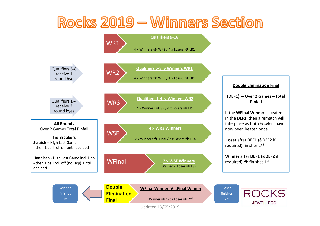

Updated 13/05/2019